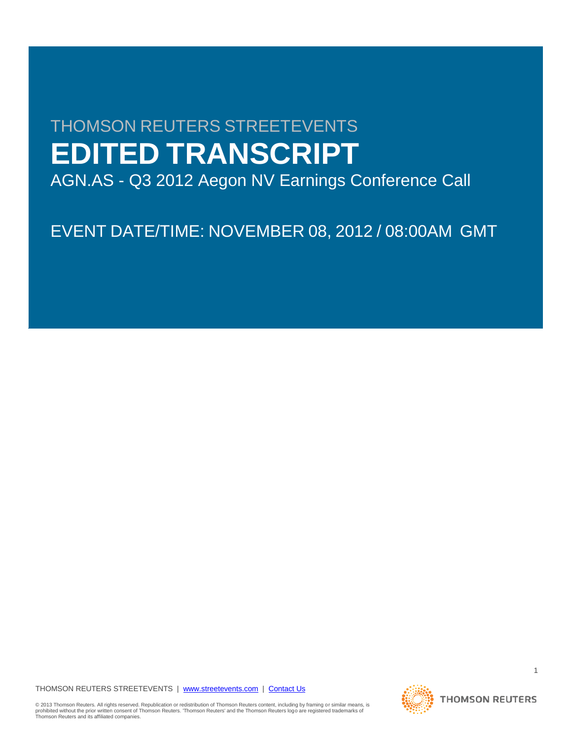# THOMSON REUTERS STREETEVENTS **EDITED TRANSCRIPT**

AGN.AS - Q3 2012 Aegon NV Earnings Conference Call

EVENT DATE/TIME: NOVEMBER 08, 2012 / 08:00AM GMT

# THOMSON REUTERS STREETEVENTS | www.streetevents.com | Contact Us

© 2013 Thomson Reuters. All rights reserved. Republication or redistribution of Thomson Reuters content, including by framing or similar means, is<br>prohibited without the prior written consent of Thomson Reuters. 'Thomson



1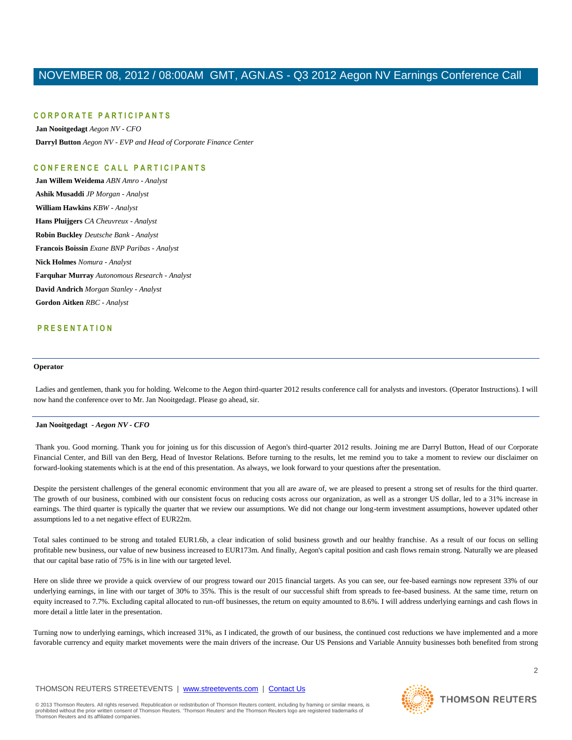# **C O R P O R A T E P A R T I C I P A N T S**

**Jan Nooitgedagt** *Aegon NV - CFO* **Darryl Button** *Aegon NV - EVP and Head of Corporate Finance Center*

# **C O N F E R E N C E C A L L P A R T I C I P A N T S**

**Jan Willem Weidema** *ABN Amro - Analyst* **Ashik Musaddi** *JP Morgan - Analyst* **William Hawkins** *KBW - Analyst* **Hans Pluijgers** *CA Cheuvreux - Analyst* **Robin Buckley** *Deutsche Bank - Analyst* **Francois Boissin** *Exane BNP Paribas - Analyst* **Nick Holmes** *Nomura - Analyst* **Farquhar Murray** *Autonomous Research - Analyst* **David Andrich** *Morgan Stanley - Analyst* **Gordon Aitken** *RBC - Analyst*

# **P R E S E N T A T I O N**

#### **Operator**

Ladies and gentlemen, thank you for holding. Welcome to the Aegon third-quarter 2012 results conference call for analysts and investors. (Operator Instructions). I will now hand the conference over to Mr. Jan Nooitgedagt. Please go ahead, sir.

# **Jan Nooitgedagt** *- Aegon NV - CFO*

Thank you. Good morning. Thank you for joining us for this discussion of Aegon's third-quarter 2012 results. Joining me are Darryl Button, Head of our Corporate Financial Center, and Bill van den Berg, Head of Investor Relations. Before turning to the results, let me remind you to take a moment to review our disclaimer on forward-looking statements which is at the end of this presentation. As always, we look forward to your questions after the presentation.

Despite the persistent challenges of the general economic environment that you all are aware of, we are pleased to present a strong set of results for the third quarter. The growth of our business, combined with our consistent focus on reducing costs across our organization, as well as a stronger US dollar, led to a 31% increase in earnings. The third quarter is typically the quarter that we review our assumptions. We did not change our long-term investment assumptions, however updated other assumptions led to a net negative effect of EUR22m.

Total sales continued to be strong and totaled EUR1.6b, a clear indication of solid business growth and our healthy franchise. As a result of our focus on selling profitable new business, our value of new business increased to EUR173m. And finally, Aegon's capital position and cash flows remain strong. Naturally we are pleased that our capital base ratio of 75% is in line with our targeted level.

Here on slide three we provide a quick overview of our progress toward our 2015 financial targets. As you can see, our fee-based earnings now represent 33% of our underlying earnings, in line with our target of 30% to 35%. This is the result of our successful shift from spreads to fee-based business. At the same time, return on equity increased to 7.7%. Excluding capital allocated to run-off businesses, the return on equity amounted to 8.6%. I will address underlying earnings and cash flows in more detail a little later in the presentation.

Turning now to underlying earnings, which increased 31%, as I indicated, the growth of our business, the continued cost reductions we have implemented and a more favorable currency and equity market movements were the main drivers of the increase. Our US Pensions and Variable Annuity businesses both benefited from strong

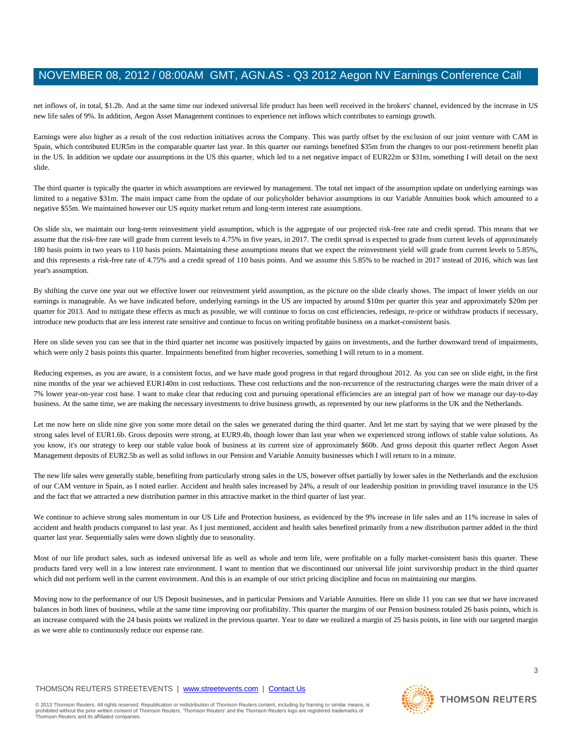net inflows of, in total, \$1.2b. And at the same time our indexed universal life product has been well received in the brokers' channel, evidenced by the increase in US new life sales of 9%. In addition, Aegon Asset Management continues to experience net inflows which contributes to earnings growth.

Earnings were also higher as a result of the cost reduction initiatives across the Company. This was partly offset by the exclusion of our joint venture with CAM in Spain, which contributed EUR5m in the comparable quarter last year. In this quarter our earnings benefited \$35m from the changes to our post-retirement benefit plan in the US. In addition we update our assumptions in the US this quarter, which led to a net negative impact of EUR22m or \$31m, something I will detail on the next slide.

The third quarter is typically the quarter in which assumptions are reviewed by management. The total net impact of the assumption update on underlying earnings was limited to a negative \$31m. The main impact came from the update of our policyholder behavior assumptions in our Variable Annuities book which amounted to a negative \$55m. We maintained however our US equity market return and long-term interest rate assumptions.

On slide six, we maintain our long-term reinvestment yield assumption, which is the aggregate of our projected risk-free rate and credit spread. This means that we assume that the risk-free rate will grade from current levels to 4.75% in five years, in 2017. The credit spread is expected to grade from current levels of approximately 180 basis points in two years to 110 basis points. Maintaining these assumptions means that we expect the reinvestment yield will grade from current levels to 5.85%, and this represents a risk-free rate of 4.75% and a credit spread of 110 basis points. And we assume this 5.85% to be reached in 2017 instead of 2016, which was last year's assumption.

By shifting the curve one year out we effective lower our reinvestment yield assumption, as the picture on the slide clearly shows. The impact of lower yields on our earnings is manageable. As we have indicated before, underlying earnings in the US are impacted by around \$10m per quarter this year and approximately \$20m per quarter for 2013. And to mitigate these effects as much as possible, we will continue to focus on cost efficiencies, redesign, re-price or withdraw products if necessary, introduce new products that are less interest rate sensitive and continue to focus on writing profitable business on a market-consistent basis.

Here on slide seven you can see that in the third quarter net income was positively impacted by gains on investments, and the further downward trend of impairments, which were only 2 basis points this quarter. Impairments benefited from higher recoveries, something I will return to in a moment.

Reducing expenses, as you are aware, is a consistent focus, and we have made good progress in that regard throughout 2012. As you can see on slide eight, in the first nine months of the year we achieved EUR140m in cost reductions. These cost reductions and the non-recurrence of the restructuring charges were the main driver of a 7% lower year-on-year cost base. I want to make clear that reducing cost and pursuing operational efficiencies are an integral part of how we manage our day-to-day business. At the same time, we are making the necessary investments to drive business growth, as represented by our new platforms in the UK and the Netherlands.

Let me now here on slide nine give you some more detail on the sales we generated during the third quarter. And let me start by saying that we were pleased by the strong sales level of EUR1.6b. Gross deposits were strong, at EUR9.4b, though lower than last year when we experienced strong inflows of stable value solutions. As you know, it's our strategy to keep our stable value book of business at its current size of approximately \$60b. And gross deposit this quarter reflect Aegon Asset Management deposits of EUR2.5b as well as solid inflows in our Pension and Variable Annuity businesses which I will return to in a minute.

The new life sales were generally stable, benefiting from particularly strong sales in the US, however offset partially by lower sales in the Netherlands and the exclusion of our CAM venture in Spain, as I noted earlier. Accident and health sales increased by 24%, a result of our leadership position in providing travel insurance in the US and the fact that we attracted a new distribution partner in this attractive market in the third quarter of last year.

We continue to achieve strong sales momentum in our US Life and Protection business, as evidenced by the 9% increase in life sales and an 11% increase in sales of accident and health products compared to last year. As I just mentioned, accident and health sales benefited primarily from a new distribution partner added in the third quarter last year. Sequentially sales were down slightly due to seasonality.

Most of our life product sales, such as indexed universal life as well as whole and term life, were profitable on a fully market-consistent basis this quarter. These products fared very well in a low interest rate environment. I want to mention that we discontinued our universal life joint survivorship product in the third quarter which did not perform well in the current environment. And this is an example of our strict pricing discipline and focus on maintaining our margins.

Moving now to the performance of our US Deposit businesses, and in particular Pensions and Variable Annuities. Here on slide 11 you can see that we have increased balances in both lines of business, while at the same time improving our profitability. This quarter the margins of our Pension business totaled 26 basis points, which is an increase compared with the 24 basis points we realized in the previous quarter. Year to date we realized a margin of 25 basis points, in line with our targeted margin as we were able to continuously reduce our expense rate.

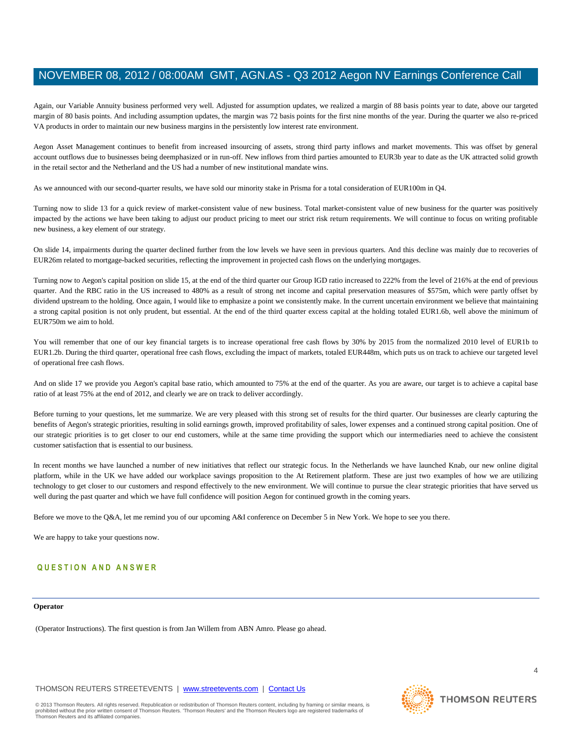Again, our Variable Annuity business performed very well. Adjusted for assumption updates, we realized a margin of 88 basis points year to date, above our targeted margin of 80 basis points. And including assumption updates, the margin was 72 basis points for the first nine months of the year. During the quarter we also re-priced VA products in order to maintain our new business margins in the persistently low interest rate environment.

Aegon Asset Management continues to benefit from increased insourcing of assets, strong third party inflows and market movements. This was offset by general account outflows due to businesses being deemphasized or in run-off. New inflows from third parties amounted to EUR3b year to date as the UK attracted solid growth in the retail sector and the Netherland and the US had a number of new institutional mandate wins.

As we announced with our second-quarter results, we have sold our minority stake in Prisma for a total consideration of EUR100m in Q4.

Turning now to slide 13 for a quick review of market-consistent value of new business. Total market-consistent value of new business for the quarter was positively impacted by the actions we have been taking to adjust our product pricing to meet our strict risk return requirements. We will continue to focus on writing profitable new business, a key element of our strategy.

On slide 14, impairments during the quarter declined further from the low levels we have seen in previous quarters. And this decline was mainly due to recoveries of EUR26m related to mortgage-backed securities, reflecting the improvement in projected cash flows on the underlying mortgages.

Turning now to Aegon's capital position on slide 15, at the end of the third quarter our Group IGD ratio increased to 222% from the level of 216% at the end of previous quarter. And the RBC ratio in the US increased to 480% as a result of strong net income and capital preservation measures of \$575m, which were partly offset by dividend upstream to the holding. Once again, I would like to emphasize a point we consistently make. In the current uncertain environment we believe that maintaining a strong capital position is not only prudent, but essential. At the end of the third quarter excess capital at the holding totaled EUR1.6b, well above the minimum of EUR750m we aim to hold.

You will remember that one of our key financial targets is to increase operational free cash flows by 30% by 2015 from the normalized 2010 level of EUR1b to EUR1.2b. During the third quarter, operational free cash flows, excluding the impact of markets, totaled EUR448m, which puts us on track to achieve our targeted level of operational free cash flows.

And on slide 17 we provide you Aegon's capital base ratio, which amounted to 75% at the end of the quarter. As you are aware, our target is to achieve a capital base ratio of at least 75% at the end of 2012, and clearly we are on track to deliver accordingly.

Before turning to your questions, let me summarize. We are very pleased with this strong set of results for the third quarter. Our businesses are clearly capturing the benefits of Aegon's strategic priorities, resulting in solid earnings growth, improved profitability of sales, lower expenses and a continued strong capital position. One of our strategic priorities is to get closer to our end customers, while at the same time providing the support which our intermediaries need to achieve the consistent customer satisfaction that is essential to our business.

In recent months we have launched a number of new initiatives that reflect our strategic focus. In the Netherlands we have launched Knab, our new online digital platform, while in the UK we have added our workplace savings proposition to the At Retirement platform. These are just two examples of how we are utilizing technology to get closer to our customers and respond effectively to the new environment. We will continue to pursue the clear strategic priorities that have served us well during the past quarter and which we have full confidence will position Aegon for continued growth in the coming years.

Before we move to the Q&A, let me remind you of our upcoming A&I conference on December 5 in New York. We hope to see you there.

We are happy to take your questions now.

# **Q U E S T I O N A N D A N S W E R**

# **Operator**

(Operator Instructions). The first question is from Jan Willem from ABN Amro. Please go ahead.

# THOMSON REUTERS STREETEVENTS | www.streetevents.com | Contact Us



**THOMSON REUTERS** 

4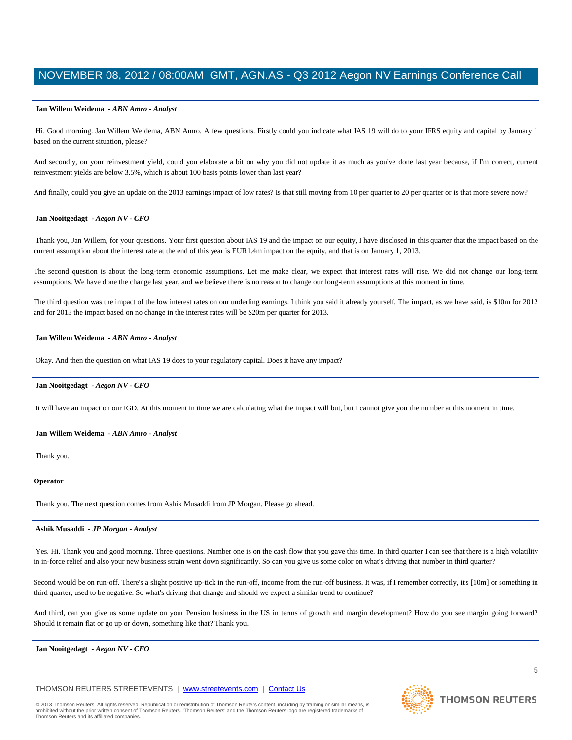# **Jan Willem Weidema** *- ABN Amro - Analyst*

Hi. Good morning. Jan Willem Weidema, ABN Amro. A few questions. Firstly could you indicate what IAS 19 will do to your IFRS equity and capital by January 1 based on the current situation, please?

And secondly, on your reinvestment yield, could you elaborate a bit on why you did not update it as much as you've done last year because, if I'm correct, current reinvestment yields are below 3.5%, which is about 100 basis points lower than last year?

And finally, could you give an update on the 2013 earnings impact of low rates? Is that still moving from 10 per quarter to 20 per quarter or is that more severe now?

# **Jan Nooitgedagt** *- Aegon NV - CFO*

Thank you, Jan Willem, for your questions. Your first question about IAS 19 and the impact on our equity, I have disclosed in this quarter that the impact based on the current assumption about the interest rate at the end of this year is EUR1.4m impact on the equity, and that is on January 1, 2013.

The second question is about the long-term economic assumptions. Let me make clear, we expect that interest rates will rise. We did not change our long-term assumptions. We have done the change last year, and we believe there is no reason to change our long-term assumptions at this moment in time.

The third question was the impact of the low interest rates on our underling earnings. I think you said it already yourself. The impact, as we have said, is \$10m for 2012 and for 2013 the impact based on no change in the interest rates will be \$20m per quarter for 2013.

## **Jan Willem Weidema** *- ABN Amro - Analyst*

Okay. And then the question on what IAS 19 does to your regulatory capital. Does it have any impact?

# **Jan Nooitgedagt** *- Aegon NV - CFO*

It will have an impact on our IGD. At this moment in time we are calculating what the impact will but, but I cannot give you the number at this moment in time.

#### **Jan Willem Weidema** *- ABN Amro - Analyst*

Thank you.

## **Operator**

Thank you. The next question comes from Ashik Musaddi from JP Morgan. Please go ahead.

#### **Ashik Musaddi** *- JP Morgan - Analyst*

Yes. Hi. Thank you and good morning. Three questions. Number one is on the cash flow that you gave this time. In third quarter I can see that there is a high volatility in in-force relief and also your new business strain went down significantly. So can you give us some color on what's driving that number in third quarter?

Second would be on run-off. There's a slight positive up-tick in the run-off, income from the run-off business. It was, if I remember correctly, it's [10m] or something in third quarter, used to be negative. So what's driving that change and should we expect a similar trend to continue?

And third, can you give us some update on your Pension business in the US in terms of growth and margin development? How do you see margin going forward? Should it remain flat or go up or down, something like that? Thank you.

**Jan Nooitgedagt** *- Aegon NV - CFO* 

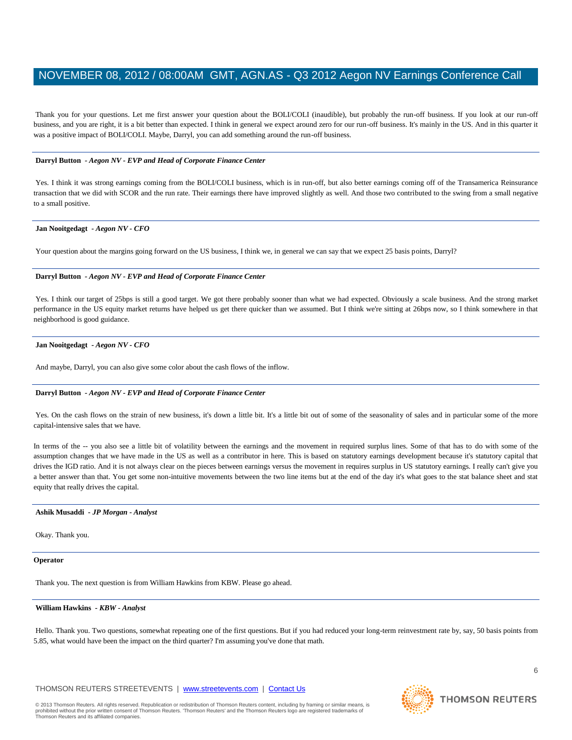Thank you for your questions. Let me first answer your question about the BOLI/COLI (inaudible), but probably the run-off business. If you look at our run-off business, and you are right, it is a bit better than expected. I think in general we expect around zero for our run-off business. It's mainly in the US. And in this quarter it was a positive impact of BOLI/COLI. Maybe, Darryl, you can add something around the run-off business.

# **Darryl Button** *- Aegon NV - EVP and Head of Corporate Finance Center*

Yes. I think it was strong earnings coming from the BOLI/COLI business, which is in run-off, but also better earnings coming off of the Transamerica Reinsurance transaction that we did with SCOR and the run rate. Their earnings there have improved slightly as well. And those two contributed to the swing from a small negative to a small positive.

# **Jan Nooitgedagt** *- Aegon NV - CFO*

Your question about the margins going forward on the US business, I think we, in general we can say that we expect 25 basis points, Darryl?

# **Darryl Button** *- Aegon NV - EVP and Head of Corporate Finance Center*

Yes. I think our target of 25bps is still a good target. We got there probably sooner than what we had expected. Obviously a scale business. And the strong market performance in the US equity market returns have helped us get there quicker than we assumed. But I think we're sitting at 26bps now, so I think somewhere in that neighborhood is good guidance.

# **Jan Nooitgedagt** *- Aegon NV - CFO*

And maybe, Darryl, you can also give some color about the cash flows of the inflow.

# **Darryl Button** *- Aegon NV - EVP and Head of Corporate Finance Center*

Yes. On the cash flows on the strain of new business, it's down a little bit. It's a little bit out of some of the seasonality of sales and in particular some of the more capital-intensive sales that we have.

In terms of the -- you also see a little bit of volatility between the earnings and the movement in required surplus lines. Some of that has to do with some of the assumption changes that we have made in the US as well as a contributor in here. This is based on statutory earnings development because it's statutory capital that drives the IGD ratio. And it is not always clear on the pieces between earnings versus the movement in requires surplus in US statutory earnings. I really can't give you a better answer than that. You get some non-intuitive movements between the two line items but at the end of the day it's what goes to the stat balance sheet and stat equity that really drives the capital.

# **Ashik Musaddi** *- JP Morgan - Analyst*

Okay. Thank you.

# **Operator**

Thank you. The next question is from William Hawkins from KBW. Please go ahead.

# **William Hawkins** *- KBW - Analyst*

Hello. Thank you. Two questions, somewhat repeating one of the first questions. But if you had reduced your long-term reinvestment rate by, say, 50 basis points from 5.85, what would have been the impact on the third quarter? I'm assuming you've done that math.

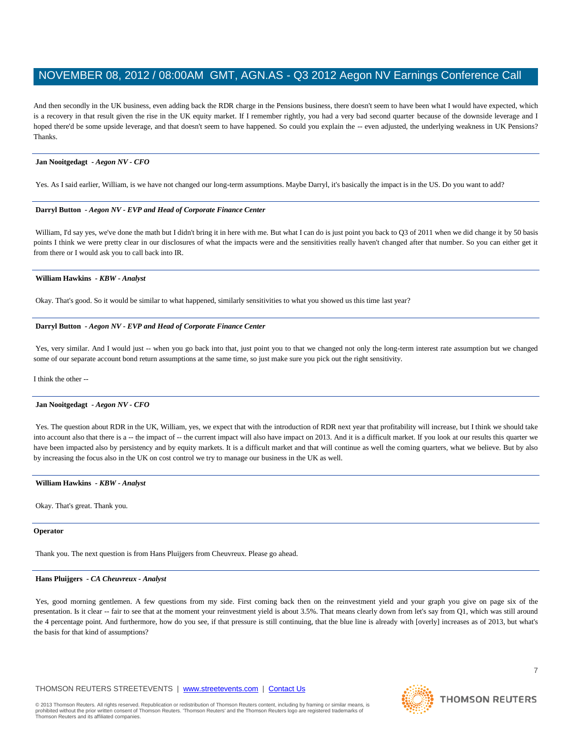And then secondly in the UK business, even adding back the RDR charge in the Pensions business, there doesn't seem to have been what I would have expected, which is a recovery in that result given the rise in the UK equity market. If I remember rightly, you had a very bad second quarter because of the downside leverage and I hoped there'd be some upside leverage, and that doesn't seem to have happened. So could you explain the -- even adjusted, the underlying weakness in UK Pensions? Thanks.

# **Jan Nooitgedagt** *- Aegon NV - CFO*

Yes. As I said earlier, William, is we have not changed our long-term assumptions. Maybe Darryl, it's basically the impact is in the US. Do you want to add?

# **Darryl Button** *- Aegon NV - EVP and Head of Corporate Finance Center*

William, I'd say yes, we've done the math but I didn't bring it in here with me. But what I can do is just point you back to Q3 of 2011 when we did change it by 50 basis points I think we were pretty clear in our disclosures of what the impacts were and the sensitivities really haven't changed after that number. So you can either get it from there or I would ask you to call back into IR.

# **William Hawkins** *- KBW - Analyst*

Okay. That's good. So it would be similar to what happened, similarly sensitivities to what you showed us this time last year?

# **Darryl Button** *- Aegon NV - EVP and Head of Corporate Finance Center*

Yes, very similar. And I would just -- when you go back into that, just point you to that we changed not only the long-term interest rate assumption but we changed some of our separate account bond return assumptions at the same time, so just make sure you pick out the right sensitivity.

I think the other --

# **Jan Nooitgedagt** *- Aegon NV - CFO*

Yes. The question about RDR in the UK, William, yes, we expect that with the introduction of RDR next year that profitability will increase, but I think we should take into account also that there is a -- the impact of -- the current impact will also have impact on 2013. And it is a difficult market. If you look at our results this quarter we have been impacted also by persistency and by equity markets. It is a difficult market and that will continue as well the coming quarters, what we believe. But by also by increasing the focus also in the UK on cost control we try to manage our business in the UK as well.

# **William Hawkins** *- KBW - Analyst*

Okay. That's great. Thank you.

# **Operator**

Thank you. The next question is from Hans Pluijgers from Cheuvreux. Please go ahead.

# **Hans Pluijgers** *- CA Cheuvreux - Analyst*

Yes, good morning gentlemen. A few questions from my side. First coming back then on the reinvestment yield and your graph you give on page six of the presentation. Is it clear -- fair to see that at the moment your reinvestment yield is about 3.5%. That means clearly down from let's say from Q1, which was still around the 4 percentage point. And furthermore, how do you see, if that pressure is still continuing, that the blue line is already with [overly] increases as of 2013, but what's the basis for that kind of assumptions?

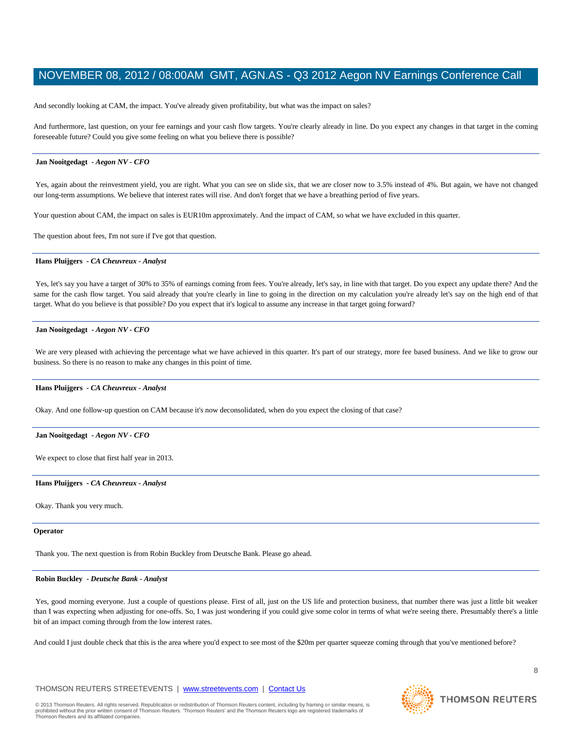And secondly looking at CAM, the impact. You've already given profitability, but what was the impact on sales?

And furthermore, last question, on your fee earnings and your cash flow targets. You're clearly already in line. Do you expect any changes in that target in the coming foreseeable future? Could you give some feeling on what you believe there is possible?

# **Jan Nooitgedagt** *- Aegon NV - CFO*

Yes, again about the reinvestment yield, you are right. What you can see on slide six, that we are closer now to 3.5% instead of 4%. But again, we have not changed our long-term assumptions. We believe that interest rates will rise. And don't forget that we have a breathing period of five years.

Your question about CAM, the impact on sales is EUR10m approximately. And the impact of CAM, so what we have excluded in this quarter.

The question about fees, I'm not sure if I've got that question.

# **Hans Pluijgers** *- CA Cheuvreux - Analyst*

Yes, let's say you have a target of 30% to 35% of earnings coming from fees. You're already, let's say, in line with that target. Do you expect any update there? And the same for the cash flow target. You said already that you're clearly in line to going in the direction on my calculation you're already let's say on the high end of that target. What do you believe is that possible? Do you expect that it's logical to assume any increase in that target going forward?

# **Jan Nooitgedagt** *- Aegon NV - CFO*

We are very pleased with achieving the percentage what we have achieved in this quarter. It's part of our strategy, more fee based business. And we like to grow our business. So there is no reason to make any changes in this point of time.

#### **Hans Pluijgers** *- CA Cheuvreux - Analyst*

Okay. And one follow-up question on CAM because it's now deconsolidated, when do you expect the closing of that case?

## **Jan Nooitgedagt** *- Aegon NV - CFO*

We expect to close that first half year in 2013.

## **Hans Pluijgers** *- CA Cheuvreux - Analyst*

Okay. Thank you very much.

#### **Operator**

Thank you. The next question is from Robin Buckley from Deutsche Bank. Please go ahead.

## **Robin Buckley** *- Deutsche Bank - Analyst*

Yes, good morning everyone. Just a couple of questions please. First of all, just on the US life and protection business, that number there was just a little bit weaker than I was expecting when adjusting for one-offs. So, I was just wondering if you could give some color in terms of what we're seeing there. Presumably there's a little bit of an impact coming through from the low interest rates.

And could I just double check that this is the area where you'd expect to see most of the \$20m per quarter squeeze coming through that you've mentioned before?

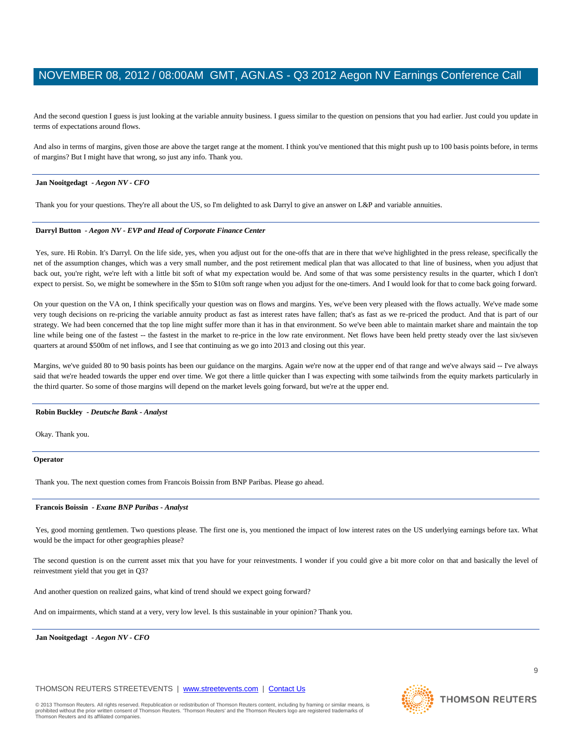And the second question I guess is just looking at the variable annuity business. I guess similar to the question on pensions that you had earlier. Just could you update in terms of expectations around flows.

And also in terms of margins, given those are above the target range at the moment. I think you've mentioned that this might push up to 100 basis points before, in terms of margins? But I might have that wrong, so just any info. Thank you.

# **Jan Nooitgedagt** *- Aegon NV - CFO*

Thank you for your questions. They're all about the US, so I'm delighted to ask Darryl to give an answer on L&P and variable annuities.

# **Darryl Button** *- Aegon NV - EVP and Head of Corporate Finance Center*

Yes, sure. Hi Robin. It's Darryl. On the life side, yes, when you adjust out for the one-offs that are in there that we've highlighted in the press release, specifically the net of the assumption changes, which was a very small number, and the post retirement medical plan that was allocated to that line of business, when you adjust that back out, you're right, we're left with a little bit soft of what my expectation would be. And some of that was some persistency results in the quarter, which I don't expect to persist. So, we might be somewhere in the \$5m to \$10m soft range when you adjust for the one-timers. And I would look for that to come back going forward.

On your question on the VA on, I think specifically your question was on flows and margins. Yes, we've been very pleased with the flows actually. We've made some very tough decisions on re-pricing the variable annuity product as fast as interest rates have fallen; that's as fast as we re-priced the product. And that is part of our strategy. We had been concerned that the top line might suffer more than it has in that environment. So we've been able to maintain market share and maintain the top line while being one of the fastest -- the fastest in the market to re-price in the low rate environment. Net flows have been held pretty steady over the last six/seven quarters at around \$500m of net inflows, and I see that continuing as we go into 2013 and closing out this year.

Margins, we've guided 80 to 90 basis points has been our guidance on the margins. Again we're now at the upper end of that range and we've always said -- I've always said that we're headed towards the upper end over time. We got there a little quicker than I was expecting with some tailwinds from the equity markets particularly in the third quarter. So some of those margins will depend on the market levels going forward, but we're at the upper end.

# **Robin Buckley** *- Deutsche Bank - Analyst*

Okay. Thank you.

#### **Operator**

Thank you. The next question comes from Francois Boissin from BNP Paribas. Please go ahead.

# **Francois Boissin** *- Exane BNP Paribas - Analyst*

Yes, good morning gentlemen. Two questions please. The first one is, you mentioned the impact of low interest rates on the US underlying earnings before tax. What would be the impact for other geographies please?

The second question is on the current asset mix that you have for your reinvestments. I wonder if you could give a bit more color on that and basically the level of reinvestment yield that you get in Q3?

And another question on realized gains, what kind of trend should we expect going forward?

And on impairments, which stand at a very, very low level. Is this sustainable in your opinion? Thank you.

**Jan Nooitgedagt** *- Aegon NV - CFO* 

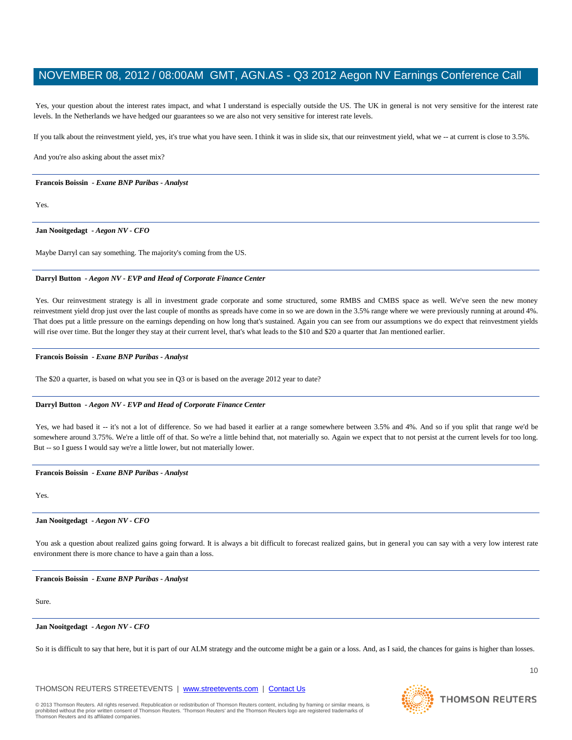Yes, your question about the interest rates impact, and what I understand is especially outside the US. The UK in general is not very sensitive for the interest rate levels. In the Netherlands we have hedged our guarantees so we are also not very sensitive for interest rate levels.

If you talk about the reinvestment yield, yes, it's true what you have seen. I think it was in slide six, that our reinvestment yield, what we -- at current is close to 3.5%.

And you're also asking about the asset mix?

# **Francois Boissin** *- Exane BNP Paribas - Analyst*

Yes.

**Jan Nooitgedagt** *- Aegon NV - CFO* 

Maybe Darryl can say something. The majority's coming from the US.

# **Darryl Button** *- Aegon NV - EVP and Head of Corporate Finance Center*

Yes. Our reinvestment strategy is all in investment grade corporate and some structured, some RMBS and CMBS space as well. We've seen the new money reinvestment yield drop just over the last couple of months as spreads have come in so we are down in the 3.5% range where we were previously running at around 4%. That does put a little pressure on the earnings depending on how long that's sustained. Again you can see from our assumptions we do expect that reinvestment yields will rise over time. But the longer they stay at their current level, that's what leads to the \$10 and \$20 a quarter that Jan mentioned earlier.

# **Francois Boissin** *- Exane BNP Paribas - Analyst*

The \$20 a quarter, is based on what you see in Q3 or is based on the average 2012 year to date?

# **Darryl Button** *- Aegon NV - EVP and Head of Corporate Finance Center*

Yes, we had based it -- it's not a lot of difference. So we had based it earlier at a range somewhere between 3.5% and 4%. And so if you split that range we'd be somewhere around 3.75%. We're a little off of that. So we're a little behind that, not materially so. Again we expect that to not persist at the current levels for too long. But -- so I guess I would say we're a little lower, but not materially lower.

# **Francois Boissin** *- Exane BNP Paribas - Analyst*

Yes.

# **Jan Nooitgedagt** *- Aegon NV - CFO*

You ask a question about realized gains going forward. It is always a bit difficult to forecast realized gains, but in general you can say with a very low interest rate environment there is more chance to have a gain than a loss.

# **Francois Boissin** *- Exane BNP Paribas - Analyst*

Sure.

# **Jan Nooitgedagt** *- Aegon NV - CFO*

So it is difficult to say that here, but it is part of our ALM strategy and the outcome might be a gain or a loss. And, as I said, the chances for gains is higher than losses.

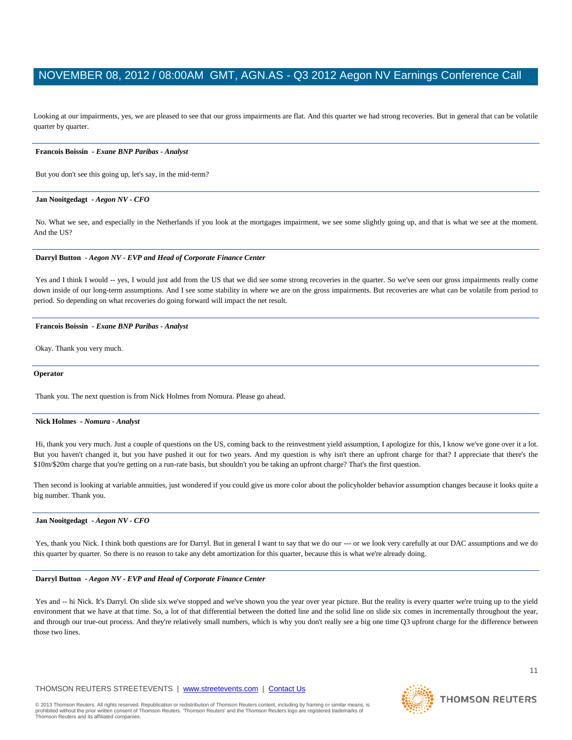Looking at our impairments, yes, we are pleased to see that our gross impairments are flat. And this quarter we had strong recoveries. But in general that can be volatile quarter by quarter.

## **Francois Boissin** *- Exane BNP Paribas - Analyst*

But you don't see this going up, let's say, in the mid-term?

## **Jan Nooitgedagt** *- Aegon NV - CFO*

No. What we see, and especially in the Netherlands if you look at the mortgages impairment, we see some slightly going up, and that is what we see at the moment. And the US?

# **Darryl Button** *- Aegon NV - EVP and Head of Corporate Finance Center*

Yes and I think I would -- yes, I would just add from the US that we did see some strong recoveries in the quarter. So we've seen our gross impairments really come down inside of our long-term assumptions. And I see some stability in where we are on the gross impairments. But recoveries are what can be volatile from period to period. So depending on what recoveries do going forward will impact the net result.

## **Francois Boissin** *- Exane BNP Paribas - Analyst*

Okay. Thank you very much.

## **Operator**

Thank you. The next question is from Nick Holmes from Nomura. Please go ahead.

## **Nick Holmes** *- Nomura - Analyst*

Hi, thank you very much. Just a couple of questions on the US, coming back to the reinvestment yield assumption, I apologize for this, I know we've gone over it a lot. But you haven't changed it, but you have pushed it out for two years. And my question is why isn't there an upfront charge for that? I appreciate that there's the \$10m/\$20m charge that you're getting on a run-rate basis, but shouldn't you be taking an upfront charge? That's the first question.

Then second is looking at variable annuities, just wondered if you could give us more color about the policyholder behavior assumption changes because it looks quite a big number. Thank you.

#### **Jan Nooitgedagt** *- Aegon NV - CFO*

Yes, thank you Nick. I think both questions are for Darryl. But in general I want to say that we do our --- or we look very carefully at our DAC assumptions and we do this quarter by quarter. So there is no reason to take any debt amortization for this quarter, because this is what we're already doing.

# **Darryl Button** *- Aegon NV - EVP and Head of Corporate Finance Center*

Yes and -- hi Nick. It's Darryl. On slide six we've stopped and we've shown you the year over year picture. But the reality is every quarter we're truing up to the yield environment that we have at that time. So, a lot of that differential between the dotted line and the solid line on slide six comes in incrementally throughout the year, and through our true-out process. And they're relatively small numbers, which is why you don't really see a big one time Q3 upfront charge for the difference between those two lines.

# THOMSON REUTERS STREETEVENTS | www.streetevents.com | Contact Us



**THOMSON REUTERS**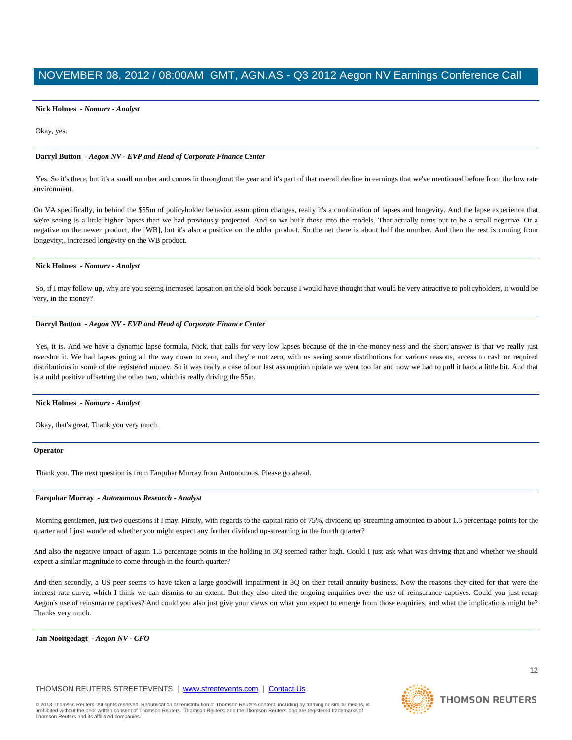# **Nick Holmes** *- Nomura - Analyst*

# Okay, yes.

# **Darryl Button** *- Aegon NV - EVP and Head of Corporate Finance Center*

Yes. So it's there, but it's a small number and comes in throughout the year and it's part of that overall decline in earnings that we've mentioned before from the low rate environment.

On VA specifically, in behind the \$55m of policyholder behavior assumption changes, really it's a combination of lapses and longevity. And the lapse experience that we're seeing is a little higher lapses than we had previously projected. And so we built those into the models. That actually turns out to be a small negative. Or a negative on the newer product, the [WB], but it's also a positive on the older product. So the net there is about half the number. And then the rest is coming from longevity;, increased longevity on the WB product.

# **Nick Holmes** *- Nomura - Analyst*

So, if I may follow-up, why are you seeing increased lapsation on the old book because I would have thought that would be very attractive to policyholders, it would be very, in the money?

# **Darryl Button** *- Aegon NV - EVP and Head of Corporate Finance Center*

Yes, it is. And we have a dynamic lapse formula, Nick, that calls for very low lapses because of the in-the-money-ness and the short answer is that we really just overshot it. We had lapses going all the way down to zero, and they're not zero, with us seeing some distributions for various reasons, access to cash or required distributions in some of the registered money. So it was really a case of our last assumption update we went too far and now we had to pull it back a little bit. And that is a mild positive offsetting the other two, which is really driving the 55m.

# **Nick Holmes** *- Nomura - Analyst*

Okay, that's great. Thank you very much.

# **Operator**

Thank you. The next question is from Farquhar Murray from Autonomous. Please go ahead.

# **Farquhar Murray** *- Autonomous Research - Analyst*

Morning gentlemen, just two questions if I may. Firstly, with regards to the capital ratio of 75%, dividend up-streaming amounted to about 1.5 percentage points for the quarter and I just wondered whether you might expect any further dividend up-streaming in the fourth quarter?

And also the negative impact of again 1.5 percentage points in the holding in 3Q seemed rather high. Could I just ask what was driving that and whether we should expect a similar magnitude to come through in the fourth quarter?

And then secondly, a US peer seems to have taken a large goodwill impairment in 3Q on their retail annuity business. Now the reasons they cited for that were the interest rate curve, which I think we can dismiss to an extent. But they also cited the ongoing enquiries over the use of reinsurance captives. Could you just recap Aegon's use of reinsurance captives? And could you also just give your views on what you expect to emerge from those enquiries, and what the implications might be? Thanks very much.

**Jan Nooitgedagt** *- Aegon NV - CFO* 



**THOMSON REUTERS**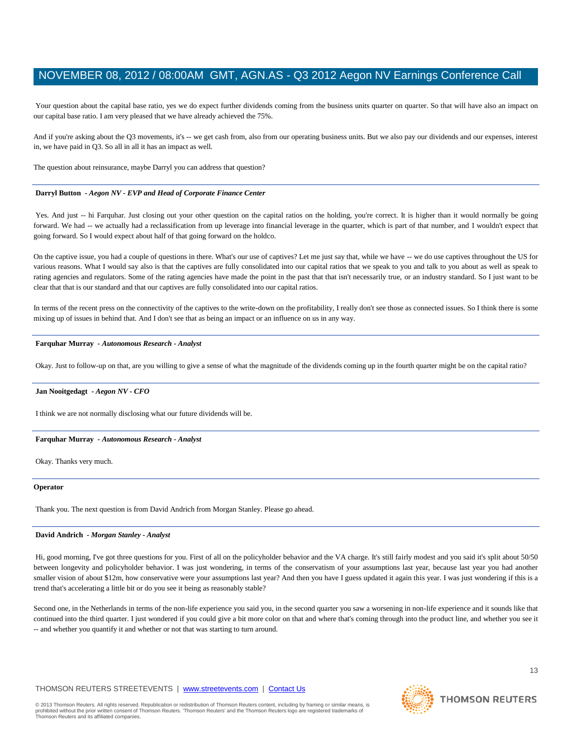Your question about the capital base ratio, yes we do expect further dividends coming from the business units quarter on quarter. So that will have also an impact on our capital base ratio. I am very pleased that we have already achieved the 75%.

And if you're asking about the Q3 movements, it's -- we get cash from, also from our operating business units. But we also pay our dividends and our expenses, interest in, we have paid in Q3. So all in all it has an impact as well.

The question about reinsurance, maybe Darryl you can address that question?

## **Darryl Button** *- Aegon NV - EVP and Head of Corporate Finance Center*

Yes. And just -- hi Farquhar. Just closing out your other question on the capital ratios on the holding, you're correct. It is higher than it would normally be going forward. We had -- we actually had a reclassification from up leverage into financial leverage in the quarter, which is part of that number, and I wouldn't expect that going forward. So I would expect about half of that going forward on the holdco.

On the captive issue, you had a couple of questions in there. What's our use of captives? Let me just say that, while we have -- we do use captives throughout the US for various reasons. What I would say also is that the captives are fully consolidated into our capital ratios that we speak to you and talk to you about as well as speak to rating agencies and regulators. Some of the rating agencies have made the point in the past that that isn't necessarily true, or an industry standard. So I just want to be clear that that is our standard and that our captives are fully consolidated into our capital ratios.

In terms of the recent press on the connectivity of the captives to the write-down on the profitability, I really don't see those as connected issues. So I think there is some mixing up of issues in behind that. And I don't see that as being an impact or an influence on us in any way.

# **Farquhar Murray** *- Autonomous Research - Analyst*

Okay. Just to follow-up on that, are you willing to give a sense of what the magnitude of the dividends coming up in the fourth quarter might be on the capital ratio?

# **Jan Nooitgedagt** *- Aegon NV - CFO*

I think we are not normally disclosing what our future dividends will be.

## **Farquhar Murray** *- Autonomous Research - Analyst*

Okay. Thanks very much.

# **Operator**

Thank you. The next question is from David Andrich from Morgan Stanley. Please go ahead.

# **David Andrich** *- Morgan Stanley - Analyst*

Hi, good morning, I've got three questions for you. First of all on the policyholder behavior and the VA charge. It's still fairly modest and you said it's split about 50/50 between longevity and policyholder behavior. I was just wondering, in terms of the conservatism of your assumptions last year, because last year you had another smaller vision of about \$12m, how conservative were your assumptions last year? And then you have I guess updated it again this year. I was just wondering if this is a trend that's accelerating a little bit or do you see it being as reasonably stable?

Second one, in the Netherlands in terms of the non-life experience you said you, in the second quarter you saw a worsening in non-life experience and it sounds like that continued into the third quarter. I just wondered if you could give a bit more color on that and where that's coming through into the product line, and whether you see it -- and whether you quantify it and whether or not that was starting to turn around.

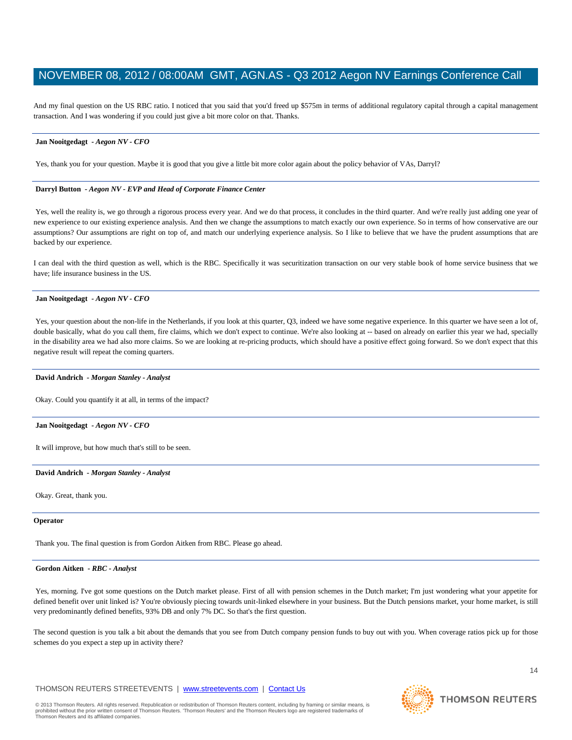And my final question on the US RBC ratio. I noticed that you said that you'd freed up \$575m in terms of additional regulatory capital through a capital management transaction. And I was wondering if you could just give a bit more color on that. Thanks.

# **Jan Nooitgedagt** *- Aegon NV - CFO*

Yes, thank you for your question. Maybe it is good that you give a little bit more color again about the policy behavior of VAs, Darryl?

# **Darryl Button** *- Aegon NV - EVP and Head of Corporate Finance Center*

Yes, well the reality is, we go through a rigorous process every year. And we do that process, it concludes in the third quarter. And we're really just adding one year of new experience to our existing experience analysis. And then we change the assumptions to match exactly our own experience. So in terms of how conservative are our assumptions? Our assumptions are right on top of, and match our underlying experience analysis. So I like to believe that we have the prudent assumptions that are backed by our experience.

I can deal with the third question as well, which is the RBC. Specifically it was securitization transaction on our very stable book of home service business that we have; life insurance business in the US.

# **Jan Nooitgedagt** *- Aegon NV - CFO*

Yes, your question about the non-life in the Netherlands, if you look at this quarter, Q3, indeed we have some negative experience. In this quarter we have seen a lot of, double basically, what do you call them, fire claims, which we don't expect to continue. We're also looking at -- based on already on earlier this year we had, specially in the disability area we had also more claims. So we are looking at re-pricing products, which should have a positive effect going forward. So we don't expect that this negative result will repeat the coming quarters.

# **David Andrich** *- Morgan Stanley - Analyst*

Okay. Could you quantify it at all, in terms of the impact?

# **Jan Nooitgedagt** *- Aegon NV - CFO*

It will improve, but how much that's still to be seen.

## **David Andrich** *- Morgan Stanley - Analyst*

Okay. Great, thank you.

## **Operator**

Thank you. The final question is from Gordon Aitken from RBC. Please go ahead.

# **Gordon Aitken** *- RBC - Analyst*

Yes, morning. I've got some questions on the Dutch market please. First of all with pension schemes in the Dutch market; I'm just wondering what your appetite for defined benefit over unit linked is? You're obviously piecing towards unit-linked elsewhere in your business. But the Dutch pensions market, your home market, is still very predominantly defined benefits, 93% DB and only 7% DC. So that's the first question.

The second question is you talk a bit about the demands that you see from Dutch company pension funds to buy out with you. When coverage ratios pick up for those schemes do you expect a step up in activity there?

# THOMSON REUTERS STREETEVENTS | www.streetevents.com | Contact Us



**THOMSON REUTERS**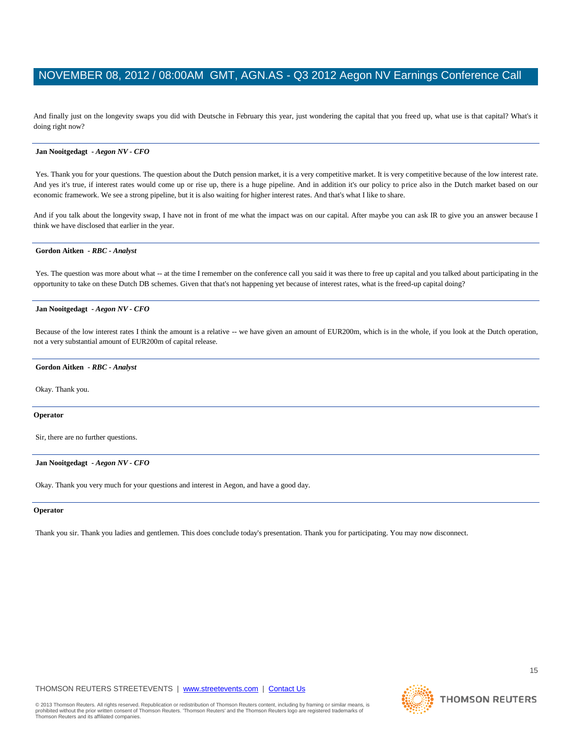And finally just on the longevity swaps you did with Deutsche in February this year, just wondering the capital that you freed up, what use is that capital? What's it doing right now?

#### **Jan Nooitgedagt** *- Aegon NV - CFO*

Yes. Thank you for your questions. The question about the Dutch pension market, it is a very competitive market. It is very competitive because of the low interest rate. And yes it's true, if interest rates would come up or rise up, there is a huge pipeline. And in addition it's our policy to price also in the Dutch market based on our economic framework. We see a strong pipeline, but it is also waiting for higher interest rates. And that's what I like to share.

And if you talk about the longevity swap, I have not in front of me what the impact was on our capital. After maybe you can ask IR to give you an answer because I think we have disclosed that earlier in the year.

# **Gordon Aitken** *- RBC - Analyst*

Yes. The question was more about what -- at the time I remember on the conference call you said it was there to free up capital and you talked about participating in the opportunity to take on these Dutch DB schemes. Given that that's not happening yet because of interest rates, what is the freed-up capital doing?

# **Jan Nooitgedagt** *- Aegon NV - CFO*

Because of the low interest rates I think the amount is a relative -- we have given an amount of EUR200m, which is in the whole, if you look at the Dutch operation, not a very substantial amount of EUR200m of capital release.

#### **Gordon Aitken** *- RBC - Analyst*

Okay. Thank you.

## **Operator**

Sir, there are no further questions.

#### **Jan Nooitgedagt** *- Aegon NV - CFO*

Okay. Thank you very much for your questions and interest in Aegon, and have a good day.

## **Operator**

Thank you sir. Thank you ladies and gentlemen. This does conclude today's presentation. Thank you for participating. You may now disconnect.

**THOMSON REUTERS** 

© 2013 Thomson Reuters. All rights reserved. Republication or redistribution of Thomson Reuters content, including by framing or similar means, is prohibited without the prior written consent of Thomson Reuters. 'Thomson Reuters' and the Thomson Reuters logo are registered trademarks of Thomson Reuters and its affiliated companies.